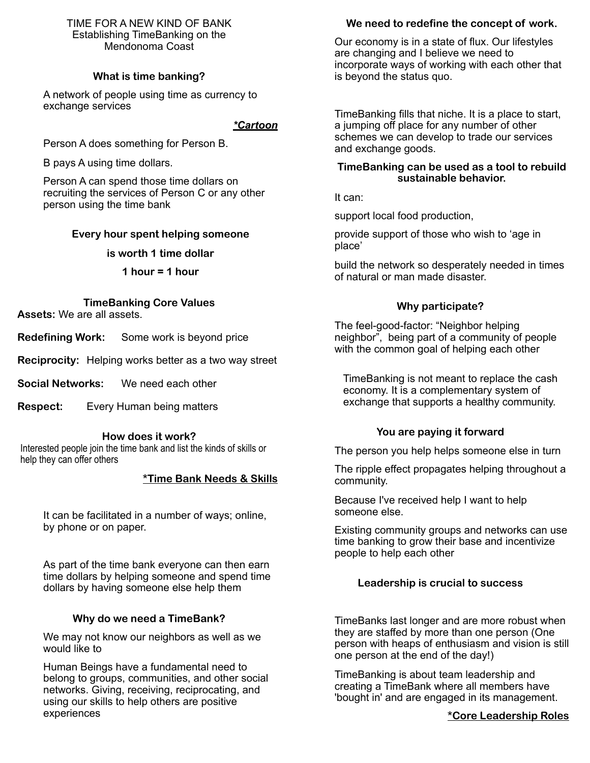#### TIME FOR A NEW KIND OF BANK Establishing TimeBanking on the Mendonoma Coast

# **What is time banking?**

A network of people using time as currency to exchange services

#### *\*Cartoon*

Person A does something for Person B.

B pays A using time dollars.

Person A can spend those time dollars on recruiting the services of Person C or any other person using the time bank

# **Every hour spent helping someone**

#### **is worth 1 time dollar**

**1 hour = 1 hour**

**TimeBanking Core Values Assets:** We are all assets.

**Redefining Work:** Some work is beyond price

**Reciprocity:** Helping works better as a two way street

**Social Networks:** We need each other

**Respect:** Every Human being matters

#### **How does it work?**

Interested people join the time bank and list the kinds of skills or help they can offer others

# **\*Time Bank Needs & Skills**

It can be facilitated in a number of ways; online, by phone or on paper.

As part of the time bank everyone can then earn time dollars by helping someone and spend time dollars by having someone else help them

# **Why do we need a TimeBank?**

We may not know our neighbors as well as we would like to

Human Beings have a fundamental need to belong to groups, communities, and other social networks. Giving, receiving, reciprocating, and using our skills to help others are positive experiences

# **We need to redefine the concept of work.**

Our economy is in a state of flux. Our lifestyles are changing and I believe we need to incorporate ways of working with each other that is beyond the status quo.

TimeBanking fills that niche. It is a place to start, a jumping off place for any number of other schemes we can develop to trade our services and exchange goods.

### **TimeBanking can be used as a tool to rebuild sustainable behavior.**

It can:

support local food production,

provide support of those who wish to 'age in place'

build the network so desperately needed in times of natural or man made disaster.

# **Why participate?**

The feel-good-factor: "Neighbor helping neighbor", being part of a community of people with the common goal of helping each other

 TimeBanking is not meant to replace the cash economy. It is a complementary system of exchange that supports a healthy community.

# **You are paying it forward**

The person you help helps someone else in turn

The ripple effect propagates helping throughout a community.

Because I've received help I want to help someone else.

Existing community groups and networks can use time banking to grow their base and incentivize people to help each other

# **Leadership is crucial to success**

TimeBanks last longer and are more robust when they are staffed by more than one person (One person with heaps of enthusiasm and vision is still one person at the end of the day!)

TimeBanking is about team leadership and creating a TimeBank where all members have 'bought in' and are engaged in its management.

# **\*Core Leadership Roles**